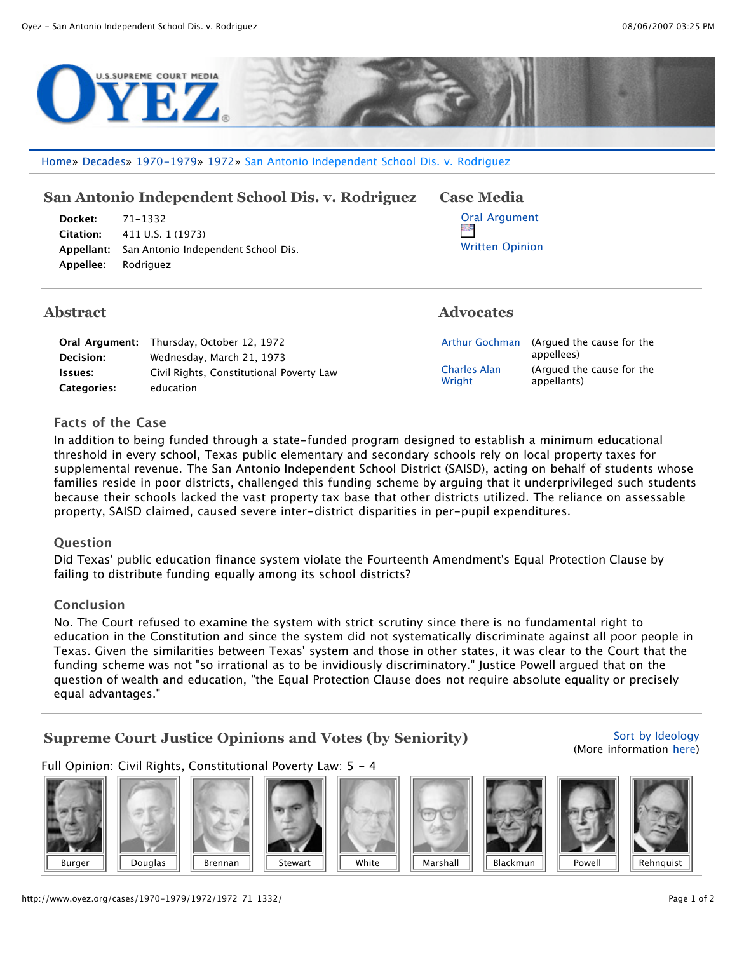

Home» Decades» 1970-1979» 1972» San Antonio Independent School Dis. v. Rodriguez

# **San Antonio Independent School Dis. v. Rodriguez Case Media**

| <b>Docket:</b> 71-1332 |                                                |
|------------------------|------------------------------------------------|
|                        | <b>Citation:</b> 411 U.S. 1 (1973)             |
|                        | Appellant: San Antonio Independent School Dis. |
| Appellee: Rodriguez    |                                                |

## **Abstract Advocates**

|                    | <b>Oral Argument:</b> Thursday, October 12, 1972 |
|--------------------|--------------------------------------------------|
| Decision:          | Wednesday, March 21, 1973                        |
| Issues:            | Civil Rights, Constitutional Poverty Law         |
| <b>Categories:</b> | education                                        |



| <b>Arthur Gochman</b>         |
|-------------------------------|
| <b>Charles Alan</b><br>Wright |

(Argued the cause for the appellees) (Argued the cause for the appellants)

## **Facts of the Case**

In addition to being funded through a state-funded program designed to establish a minimum educational threshold in every school, Texas public elementary and secondary schools rely on local property taxes for supplemental revenue. The San Antonio Independent School District (SAISD), acting on behalf of students whose families reside in poor districts, challenged this funding scheme by arguing that it underprivileged such students because their schools lacked the vast property tax base that other districts utilized. The reliance on assessable property, SAISD claimed, caused severe inter-district disparities in per-pupil expenditures.

### **Question**

Did Texas' public education finance system violate the Fourteenth Amendment's Equal Protection Clause by failing to distribute funding equally among its school districts?

### **Conclusion**

No. The Court refused to examine the system with strict scrutiny since there is no fundamental right to education in the Constitution and since the system did not systematically discriminate against all poor people in Texas. Given the similarities between Texas' system and those in other states, it was clear to the Court that the funding scheme was not "so irrational as to be invidiously discriminatory." Justice Powell argued that on the question of wealth and education, "the Equal Protection Clause does not require absolute equality or precisely equal advantages."

## **Supreme Court Justice Opinions and Votes (by Seniority)**

#### Sort by Ideology (More information here)

Full Opinion: Civil Rights, Constitutional Poverty Law: 5 - 4